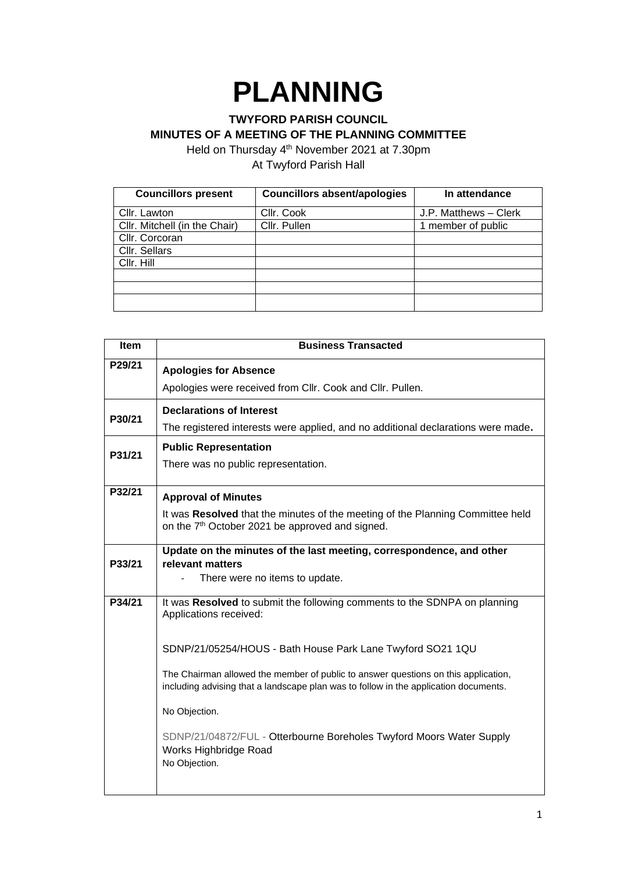## **PLANNING**

## **TWYFORD PARISH COUNCIL MINUTES OF A MEETING OF THE PLANNING COMMITTEE**

Held on Thursday 4<sup>th</sup> November 2021 at 7.30pm At Twyford Parish Hall

| <b>Councillors present</b>    | <b>Councillors absent/apologies</b> | In attendance         |
|-------------------------------|-------------------------------------|-----------------------|
| Cllr. Lawton                  | Cllr. Cook                          | J.P. Matthews - Clerk |
| Cllr. Mitchell (in the Chair) | Cllr. Pullen                        | 1 member of public    |
| Cllr. Corcoran                |                                     |                       |
| Cllr. Sellars                 |                                     |                       |
| Cllr. Hill                    |                                     |                       |
|                               |                                     |                       |
|                               |                                     |                       |
|                               |                                     |                       |

| <b>Item</b> | <b>Business Transacted</b>                                                                                                                                                 |
|-------------|----------------------------------------------------------------------------------------------------------------------------------------------------------------------------|
| P29/21      | <b>Apologies for Absence</b>                                                                                                                                               |
|             | Apologies were received from Cllr. Cook and Cllr. Pullen.                                                                                                                  |
| P30/21      | <b>Declarations of Interest</b>                                                                                                                                            |
|             | The registered interests were applied, and no additional declarations were made.                                                                                           |
| P31/21      | <b>Public Representation</b>                                                                                                                                               |
|             | There was no public representation.                                                                                                                                        |
| P32/21      | <b>Approval of Minutes</b>                                                                                                                                                 |
|             | It was Resolved that the minutes of the meeting of the Planning Committee held<br>on the 7 <sup>th</sup> October 2021 be approved and signed.                              |
|             | Update on the minutes of the last meeting, correspondence, and other                                                                                                       |
| P33/21      | relevant matters<br>There were no items to update.                                                                                                                         |
|             |                                                                                                                                                                            |
| P34/21      | It was Resolved to submit the following comments to the SDNPA on planning<br>Applications received:                                                                        |
|             | SDNP/21/05254/HOUS - Bath House Park Lane Twyford SO21 1QU                                                                                                                 |
|             | The Chairman allowed the member of public to answer questions on this application,<br>including advising that a landscape plan was to follow in the application documents. |
|             | No Objection.                                                                                                                                                              |
|             | SDNP/21/04872/FUL - Otterbourne Boreholes Twyford Moors Water Supply<br>Works Highbridge Road<br>No Objection.                                                             |
|             |                                                                                                                                                                            |